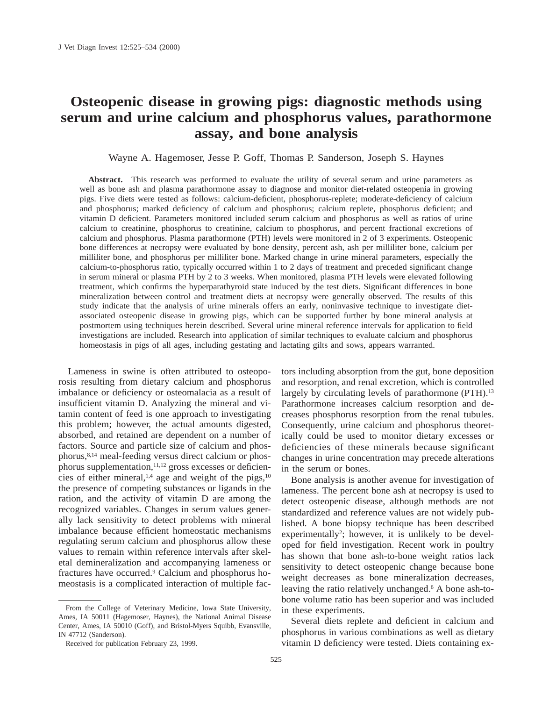# **Osteopenic disease in growing pigs: diagnostic methods using serum and urine calcium and phosphorus values, parathormone assay, and bone analysis**

Wayne A. Hagemoser, Jesse P. Goff, Thomas P. Sanderson, Joseph S. Haynes

**Abstract.** This research was performed to evaluate the utility of several serum and urine parameters as well as bone ash and plasma parathormone assay to diagnose and monitor diet-related osteopenia in growing pigs. Five diets were tested as follows: calcium-deficient, phosphorus-replete; moderate-deficiency of calcium and phosphorus; marked deficiency of calcium and phosphorus; calcium replete, phosphorus deficient; and vitamin D deficient. Parameters monitored included serum calcium and phosphorus as well as ratios of urine calcium to creatinine, phosphorus to creatinine, calcium to phosphorus, and percent fractional excretions of calcium and phosphorus. Plasma parathormone (PTH) levels were monitored in 2 of 3 experiments. Osteopenic bone differences at necropsy were evaluated by bone density, percent ash, ash per milliliter bone, calcium per milliliter bone, and phosphorus per milliliter bone. Marked change in urine mineral parameters, especially the calcium-to-phosphorus ratio, typically occurred within 1 to 2 days of treatment and preceded significant change in serum mineral or plasma PTH by 2 to 3 weeks. When monitored, plasma PTH levels were elevated following treatment, which confirms the hyperparathyroid state induced by the test diets. Significant differences in bone mineralization between control and treatment diets at necropsy were generally observed. The results of this study indicate that the analysis of urine minerals offers an early, noninvasive technique to investigate dietassociated osteopenic disease in growing pigs, which can be supported further by bone mineral analysis at postmortem using techniques herein described. Several urine mineral reference intervals for application to field investigations are included. Research into application of similar techniques to evaluate calcium and phosphorus homeostasis in pigs of all ages, including gestating and lactating gilts and sows, appears warranted.

Lameness in swine is often attributed to osteoporosis resulting from dietary calcium and phosphorus imbalance or deficiency or osteomalacia as a result of insufficient vitamin D. Analyzing the mineral and vitamin content of feed is one approach to investigating this problem; however, the actual amounts digested, absorbed, and retained are dependent on a number of factors. Source and particle size of calcium and phosphorus,8,14 meal-feeding versus direct calcium or phosphorus supplementation,<sup>11,12</sup> gross excesses or deficiencies of either mineral, $1,4$  age and weight of the pigs, $10$ the presence of competing substances or ligands in the ration, and the activity of vitamin D are among the recognized variables. Changes in serum values generally lack sensitivity to detect problems with mineral imbalance because efficient homeostatic mechanisms regulating serum calcium and phosphorus allow these values to remain within reference intervals after skeletal demineralization and accompanying lameness or fractures have occurred.9 Calcium and phosphorus homeostasis is a complicated interaction of multiple fac-

From the College of Veterinary Medicine, Iowa State University, Ames, IA 50011 (Hagemoser, Haynes), the National Animal Disease Center, Ames, IA 50010 (Goff), and Bristol-Myers Squibb, Evansville, IN 47712 (Sanderson).

tors including absorption from the gut, bone deposition and resorption, and renal excretion, which is controlled largely by circulating levels of parathormone (PTH).<sup>13</sup> Parathormone increases calcium resorption and decreases phosphorus resorption from the renal tubules. Consequently, urine calcium and phosphorus theoretically could be used to monitor dietary excesses or deficiencies of these minerals because significant changes in urine concentration may precede alterations in the serum or bones.

Bone analysis is another avenue for investigation of lameness. The percent bone ash at necropsy is used to detect osteopenic disease, although methods are not standardized and reference values are not widely published. A bone biopsy technique has been described experimentally<sup>2</sup>; however, it is unlikely to be developed for field investigation. Recent work in poultry has shown that bone ash-to-bone weight ratios lack sensitivity to detect osteopenic change because bone weight decreases as bone mineralization decreases, leaving the ratio relatively unchanged.<sup>6</sup> A bone ash-tobone volume ratio has been superior and was included in these experiments.

Several diets replete and deficient in calcium and phosphorus in various combinations as well as dietary vitamin D deficiency were tested. Diets containing ex-

Received for publication February 23, 1999.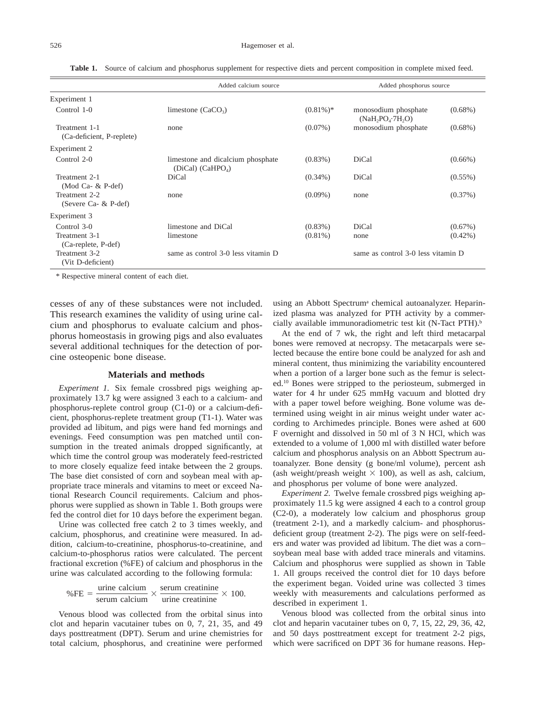|                                            | Added calcium source                                               |                                    |                                          | Added phosphorus source |  |
|--------------------------------------------|--------------------------------------------------------------------|------------------------------------|------------------------------------------|-------------------------|--|
| Experiment 1                               |                                                                    |                                    |                                          |                         |  |
| Control 1-0                                | limestone $(CaCO3)$                                                | $(0.81\%)*$                        | monosodium phosphate<br>(NaH, PO, 7H, O) | $(0.68\%)$              |  |
| Treatment 1-1<br>(Ca-deficient, P-replete) | none                                                               | $(0.07\%)$                         | monosodium phosphate                     | $(0.68\%)$              |  |
| Experiment 2                               |                                                                    |                                    |                                          |                         |  |
| Control 2-0                                | limestone and dicalcium phosphate<br>(DiCal) (CaHPO <sub>4</sub> ) | $(0.83\%)$                         | DiCal                                    | $(0.66\%)$              |  |
| Treatment 2-1<br>(Mod Ca- $&$ P-def)       | DiCal                                                              | $(0.34\%)$                         | DiCal                                    | $(0.55\%)$              |  |
| Treatment 2-2<br>(Severe Ca- & P-def)      | none                                                               | $(0.09\%)$                         | none                                     | (0.37%)                 |  |
| Experiment 3                               |                                                                    |                                    |                                          |                         |  |
| Control 3-0                                | limestone and DiCal                                                | $(0.83\%)$                         | DiCal                                    | $(0.67\%)$              |  |
| Treatment 3-1<br>(Ca-replete, P-def)       | limestone                                                          | $(0.81\%)$                         | none                                     | $(0.42\%)$              |  |
| Treatment 3-2<br>(Vit D-deficient)         | same as control 3-0 less vitamin D                                 | same as control 3-0 less vitamin D |                                          |                         |  |

**Table 1.** Source of calcium and phosphorus supplement for respective diets and percent composition in complete mixed feed.

\* Respective mineral content of each diet.

cesses of any of these substances were not included. This research examines the validity of using urine calcium and phosphorus to evaluate calcium and phosphorus homeostasis in growing pigs and also evaluates several additional techniques for the detection of porcine osteopenic bone disease.

## **Materials and methods**

*Experiment 1.* Six female crossbred pigs weighing approximately 13.7 kg were assigned 3 each to a calcium- and phosphorus-replete control group (C1-0) or a calcium-deficient, phosphorus-replete treatment group (T1-1). Water was provided ad libitum, and pigs were hand fed mornings and evenings. Feed consumption was pen matched until consumption in the treated animals dropped significantly, at which time the control group was moderately feed-restricted to more closely equalize feed intake between the 2 groups. The base diet consisted of corn and soybean meal with appropriate trace minerals and vitamins to meet or exceed National Research Council requirements. Calcium and phosphorus were supplied as shown in Table 1. Both groups were fed the control diet for 10 days before the experiment began.

Urine was collected free catch 2 to 3 times weekly, and calcium, phosphorus, and creatinine were measured. In addition, calcium-to-creatinine, phosphorus-to-creatinine, and calcium-to-phosphorus ratios were calculated. The percent fractional excretion (%FE) of calcium and phosphorus in the urine was calculated according to the following formula:

$$
%FE = \frac{\text{urine calcium}}{\text{serum calcium}} \times \frac{\text{serum creationine}}{\text{urine creationine}} \times 100.
$$

Venous blood was collected from the orbital sinus into clot and heparin vacutainer tubes on 0, 7, 21, 35, and 49 days posttreatment (DPT). Serum and urine chemistries for total calcium, phosphorus, and creatinine were performed using an Abbott Spectrum<sup>a</sup> chemical autoanalyzer. Heparinized plasma was analyzed for PTH activity by a commercially available immunoradiometric test kit (N-Tact PTH).<sup>b</sup>

At the end of 7 wk, the right and left third metacarpal bones were removed at necropsy. The metacarpals were selected because the entire bone could be analyzed for ash and mineral content, thus minimizing the variability encountered when a portion of a larger bone such as the femur is selected.10 Bones were stripped to the periosteum, submerged in water for 4 hr under 625 mmHg vacuum and blotted dry with a paper towel before weighing. Bone volume was determined using weight in air minus weight under water according to Archimedes principle. Bones were ashed at 600 F overnight and dissolved in 50 ml of 3 N HCl, which was extended to a volume of 1,000 ml with distilled water before calcium and phosphorus analysis on an Abbott Spectrum autoanalyzer. Bone density (g bone/ml volume), percent ash (ash weight/preash weight  $\times$  100), as well as ash, calcium, and phosphorus per volume of bone were analyzed.

*Experiment 2.* Twelve female crossbred pigs weighing approximately 11.5 kg were assigned 4 each to a control group (C2-0), a moderately low calcium and phosphorus group (treatment 2-1), and a markedly calcium- and phosphorusdeficient group (treatment 2-2). The pigs were on self-feeders and water was provided ad libitum. The diet was a corn– soybean meal base with added trace minerals and vitamins. Calcium and phosphorus were supplied as shown in Table 1. All groups received the control diet for 10 days before the experiment began. Voided urine was collected 3 times weekly with measurements and calculations performed as described in experiment 1.

Venous blood was collected from the orbital sinus into clot and heparin vacutainer tubes on 0, 7, 15, 22, 29, 36, 42, and 50 days posttreatment except for treatment 2-2 pigs, which were sacrificed on DPT 36 for humane reasons. Hep-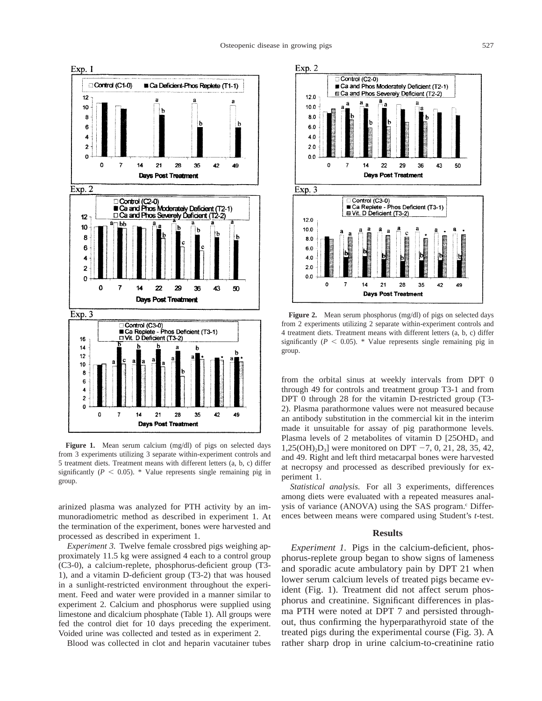

Figure 1. Mean serum calcium (mg/dl) of pigs on selected days from 3 experiments utilizing 3 separate within-experiment controls and 5 treatment diets. Treatment means with different letters (a, b, c) differ significantly ( $P < 0.05$ ). \* Value represents single remaining pig in group.

arinized plasma was analyzed for PTH activity by an immunoradiometric method as described in experiment 1. At the termination of the experiment, bones were harvested and processed as described in experiment 1.

*Experiment 3.* Twelve female crossbred pigs weighing approximately 11.5 kg were assigned 4 each to a control group (C3-0), a calcium-replete, phosphorus-deficient group (T3- 1), and a vitamin D-deficient group (T3-2) that was housed in a sunlight-restricted environment throughout the experiment. Feed and water were provided in a manner similar to experiment 2. Calcium and phosphorus were supplied using limestone and dicalcium phosphate (Table 1). All groups were fed the control diet for 10 days preceding the experiment. Voided urine was collected and tested as in experiment 2.

Blood was collected in clot and heparin vacutainer tubes



**Figure 2.** Mean serum phosphorus (mg/dl) of pigs on selected days from 2 experiments utilizing 2 separate within-experiment controls and 4 treatment diets. Treatment means with different letters (a, b, c) differ significantly ( $P < 0.05$ ). \* Value represents single remaining pig in group.

from the orbital sinus at weekly intervals from DPT 0 through 49 for controls and treatment group T3-1 and from DPT 0 through 28 for the vitamin D-restricted group (T3- 2). Plasma parathormone values were not measured because an antibody substitution in the commercial kit in the interim made it unsuitable for assay of pig parathormone levels. Plasma levels of 2 metabolites of vitamin  $D$  [25OHD<sub>3</sub> and  $1,25(OH)<sub>2</sub>D<sub>3</sub>$ ] were monitored on DPT -7, 0, 21, 28, 35, 42, and 49. Right and left third metacarpal bones were harvested at necropsy and processed as described previously for experiment 1.

*Statistical analysis.* For all 3 experiments, differences among diets were evaluated with a repeated measures analysis of variance (ANOVA) using the SAS program.<sup>c</sup> Differences between means were compared using Student's *t*-test.

### **Results**

*Experiment 1.* Pigs in the calcium-deficient, phosphorus-replete group began to show signs of lameness and sporadic acute ambulatory pain by DPT 21 when lower serum calcium levels of treated pigs became evident (Fig. 1). Treatment did not affect serum phosphorus and creatinine. Significant differences in plasma PTH were noted at DPT 7 and persisted throughout, thus confirming the hyperparathyroid state of the treated pigs during the experimental course (Fig. 3). A rather sharp drop in urine calcium-to-creatinine ratio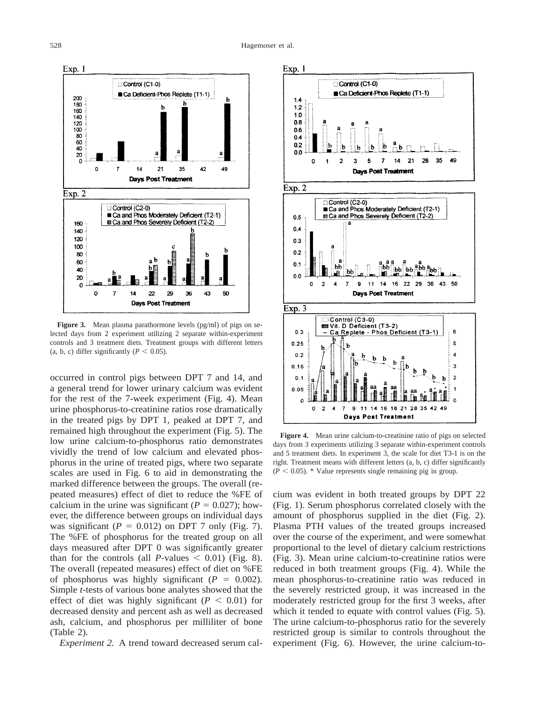

**Figure 3.** Mean plasma parathormone levels (pg/ml) of pigs on selected days from 2 experiment utilizing 2 separate within-experiment controls and 3 treatment diets. Treatment groups with different letters (a, b, c) differ significantly ( $P < 0.05$ ).

occurred in control pigs between DPT 7 and 14, and a general trend for lower urinary calcium was evident for the rest of the 7-week experiment (Fig. 4). Mean urine phosphorus-to-creatinine ratios rose dramatically in the treated pigs by DPT 1, peaked at DPT 7, and remained high throughout the experiment (Fig. 5). The low urine calcium-to-phosphorus ratio demonstrates vividly the trend of low calcium and elevated phosphorus in the urine of treated pigs, where two separate scales are used in Fig. 6 to aid in demonstrating the marked difference between the groups. The overall (repeated measures) effect of diet to reduce the %FE of calcium in the urine was significant ( $P = 0.027$ ); however, the difference between groups on individual days was significant  $(P = 0.012)$  on DPT 7 only (Fig. 7). The %FE of phosphorus for the treated group on all days measured after DPT 0 was significantly greater than for the controls (all *P*-values  $\leq$  0.01) (Fig. 8). The overall (repeated measures) effect of diet on %FE of phosphorus was highly significant  $(P = 0.002)$ . Simple *t*-tests of various bone analytes showed that the effect of diet was highly significant  $(P < 0.01)$  for decreased density and percent ash as well as decreased ash, calcium, and phosphorus per milliliter of bone (Table 2).

*Experiment 2.* A trend toward decreased serum cal-



**Figure 4.** Mean urine calcium-to-creatinine ratio of pigs on selected days from 3 experiments utilizing 3 separate within-experiment controls and 5 treatment diets. In experiment 3, the scale for diet T3-1 is on the right. Treatment means with different letters (a, b, c) differ significantly  $(P < 0.05)$ . \* Value represents single remaining pig in group.

cium was evident in both treated groups by DPT 22 (Fig. 1). Serum phosphorus correlated closely with the amount of phosphorus supplied in the diet (Fig. 2). Plasma PTH values of the treated groups increased over the course of the experiment, and were somewhat proportional to the level of dietary calcium restrictions (Fig. 3). Mean urine calcium-to-creatinine ratios were reduced in both treatment groups (Fig. 4). While the mean phosphorus-to-creatinine ratio was reduced in the severely restricted group, it was increased in the moderately restricted group for the first 3 weeks, after which it tended to equate with control values (Fig. 5). The urine calcium-to-phosphorus ratio for the severely restricted group is similar to controls throughout the experiment (Fig. 6). However, the urine calcium-to-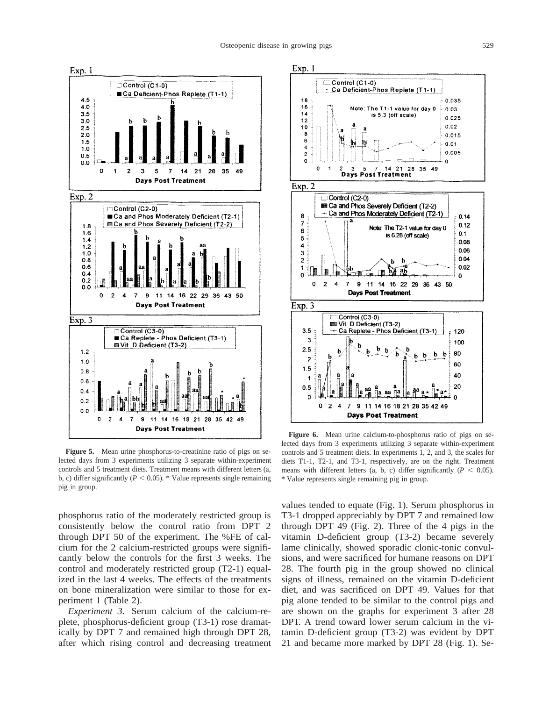

Figure 5. Mean urine phosphorus-to-creatinine ratio of pigs on selected days from 3 experiments utilizing 3 separate within-experiment controls and 5 treatment diets. Treatment means with different letters (a, b, c) differ significantly ( $P < 0.05$ ). \* Value represents single remaining pig in group.

phosphorus ratio of the moderately restricted group is consistently below the control ratio from DPT 2 through DPT 50 of the experiment. The %FE of calcium for the 2 calcium-restricted groups were significantly below the controls for the first 3 weeks. The control and moderately restricted group (T2-1) equalized in the last 4 weeks. The effects of the treatments on bone mineralization were similar to those for experiment 1 (Table 2).

*Experiment 3.* Serum calcium of the calcium-replete, phosphorus-deficient group (T3-1) rose dramatically by DPT 7 and remained high through DPT 28, after which rising control and decreasing treatment



**Figure 6.** Mean urine calcium-to-phosphorus ratio of pigs on selected days from 3 experiments utilizing 3 separate within-experiment controls and 5 treatment diets. In experiments 1, 2, and 3, the scales for diets T1-1, T2-1, and T3-1, respectively, are on the right. Treatment means with different letters (a, b, c) differ significantly ( $P < 0.05$ ). \* Value represents single remaining pig in group.

values tended to equate (Fig. 1). Serum phosphorus in T3-1 dropped appreciably by DPT 7 and remained low through DPT 49 (Fig. 2). Three of the 4 pigs in the vitamin D-deficient group (T3-2) became severely lame clinically, showed sporadic clonic-tonic convulsions, and were sacrificed for humane reasons on DPT 28. The fourth pig in the group showed no clinical signs of illness, remained on the vitamin D-deficient diet, and was sacrificed on DPT 49. Values for that pig alone tended to be similar to the control pigs and are shown on the graphs for experiment 3 after 28 DPT. A trend toward lower serum calcium in the vitamin D-deficient group (T3-2) was evident by DPT 21 and became more marked by DPT 28 (Fig. 1). Se-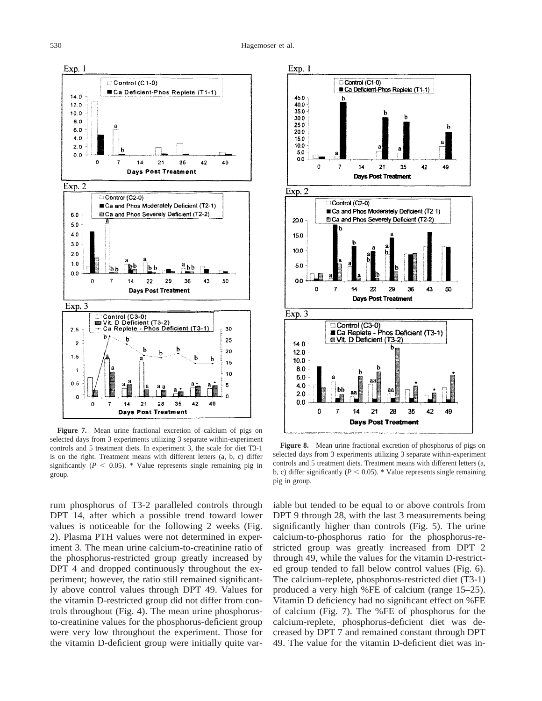

**Figure 7.** Mean urine fractional excretion of calcium of pigs on selected days from 3 experiments utilizing 3 separate within-experiment controls and 5 treatment diets. In experiment 3, the scale for diet T3-1 is on the right. Treatment means with different letters (a, b, c) differ significantly  $(P < 0.05)$ . \* Value represents single remaining pig in group.

rum phosphorus of T3-2 paralleled controls through DPT 14, after which a possible trend toward lower values is noticeable for the following 2 weeks (Fig. 2). Plasma PTH values were not determined in experiment 3. The mean urine calcium-to-creatinine ratio of the phosphorus-restricted group greatly increased by DPT 4 and dropped continuously throughout the experiment; however, the ratio still remained significantly above control values through DPT 49. Values for the vitamin D-restricted group did not differ from controls throughout (Fig. 4). The mean urine phosphorusto-creatinine values for the phosphorus-deficient group were very low throughout the experiment. Those for the vitamin D-deficient group were initially quite var-



**Figure 8.** Mean urine fractional excretion of phosphorus of pigs on selected days from 3 experiments utilizing 3 separate within-experiment controls and 5 treatment diets. Treatment means with different letters (a, b, c) differ significantly ( $P < 0.05$ ). \* Value represents single remaining pig in group.

iable but tended to be equal to or above controls from DPT 9 through 28, with the last 3 measurements being significantly higher than controls (Fig. 5). The urine calcium-to-phosphorus ratio for the phosphorus-restricted group was greatly increased from DPT 2 through 49, while the values for the vitamin D-restricted group tended to fall below control values (Fig. 6). The calcium-replete, phosphorus-restricted diet (T3-1) produced a very high %FE of calcium (range 15–25). Vitamin D deficiency had no significant effect on %FE of calcium (Fig. 7). The %FE of phosphorus for the calcium-replete, phosphorus-deficient diet was decreased by DPT 7 and remained constant through DPT 49. The value for the vitamin D-deficient diet was in-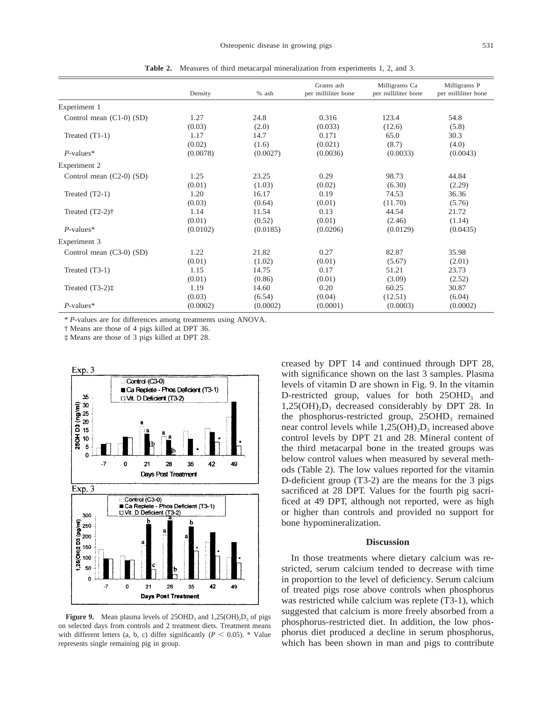|                              | Density  | % ash    | Grams ash<br>per milliliter bone | Milligrams Ca<br>per milliliter bone | Milligrams P<br>per milliliter bone |
|------------------------------|----------|----------|----------------------------------|--------------------------------------|-------------------------------------|
| Experiment 1                 |          |          |                                  |                                      |                                     |
| Control mean $(C1-0)$ $(SD)$ | 1.27     | 24.8     | 0.316                            | 123.4                                | 54.8                                |
|                              | (0.03)   | (2.0)    | (0.033)                          | (12.6)                               | (5.8)                               |
| Treated $(T1-1)$             | 1.17     | 14.7     | 0.171                            | 65.0                                 | 30.3                                |
|                              | (0.02)   | (1.6)    | (0.021)                          | (8.7)                                | (4.0)                               |
| $P$ -values*                 | (0.0078) | (0.0027) | (0.0036)                         | (0.0033)                             | (0.0043)                            |
| Experiment 2                 |          |          |                                  |                                      |                                     |
| Control mean $(C2-0)$ (SD)   | 1.25     | 23.25    | 0.29                             | 98.73                                | 44.84                               |
|                              | (0.01)   | (1.03)   | (0.02)                           | (6.30)                               | (2.29)                              |
| Treated $(T2-1)$             | 1.20     | 16.17    | 0.19                             | 74.53                                | 36.36                               |
|                              | (0.03)   | (0.64)   | (0.01)                           | (11.70)                              | (5.76)                              |
| Treated $(T2-2)$ †           | 1.14     | 11.54    | 0.13                             | 44.54                                | 21.72                               |
|                              | (0.01)   | (0.52)   | (0.01)                           | (2.46)                               | (1.14)                              |
| $P$ -values*                 | (0.0102) | (0.0185) | (0.0206)                         | (0.0129)                             | (0.0435)                            |
| Experiment 3                 |          |          |                                  |                                      |                                     |
| Control mean $(C3-0)$ $(SD)$ | 1.22     | 21.82    | 0.27                             | 82.87                                | 35.98                               |
|                              | (0.01)   | (1.02)   | (0.01)                           | (5.67)                               | (2.01)                              |
| Treated $(T3-1)$             | 1.15     | 14.75    | 0.17                             | 51.21                                | 23.73                               |
|                              | (0.01)   | (0.86)   | (0.01)                           | (3.09)                               | (2.52)                              |
| Treated $(T3-2)$ :           | 1.19     | 14.60    | 0.20                             | 60.25                                | 30.87                               |
|                              | (0.03)   | (6.54)   | (0.04)                           | (12.51)                              | (6.04)                              |
| $P$ -values*                 | (0.0002) | (0.0002) | (0.0001)                         | (0.0003)                             | (0.0002)                            |

**Table 2.** Measures of third metacarpal mineralization from experiments 1, 2, and 3.

\* *P*-values are for differences among treatments using ANOVA.

† Means are those of 4 pigs killed at DPT 36.

‡ Means are those of 3 pigs killed at DPT 28.



**Figure 9.** Mean plasma levels of  $25OHD_3$  and  $1,25(OH)_2D_3$  of pigs on selected days from controls and 2 treatment diets. Treatment means with different letters (a, b, c) differ significantly ( $P < 0.05$ ). \* Value represents single remaining pig in group.

creased by DPT 14 and continued through DPT 28, with significance shown on the last 3 samples. Plasma levels of vitamin D are shown in Fig. 9. In the vitamin D-restricted group, values for both  $25OHD<sub>3</sub>$  and  $1,25(OH)_{2}D_{3}$  decreased considerably by DPT 28. In the phosphorus-restricted group,  $25OHD<sub>3</sub>$  remained near control levels while  $1,25(OH),D_3$  increased above control levels by DPT 21 and 28. Mineral content of the third metacarpal bone in the treated groups was below control values when measured by several methods (Table 2). The low values reported for the vitamin D-deficient group (T3-2) are the means for the 3 pigs sacrificed at 28 DPT. Values for the fourth pig sacrificed at 49 DPT, although not reported, were as high or higher than controls and provided no support for bone hypomineralization.

## **Discussion**

In those treatments where dietary calcium was restricted, serum calcium tended to decrease with time in proportion to the level of deficiency. Serum calcium of treated pigs rose above controls when phosphorus was restricted while calcium was replete (T3-1), which suggested that calcium is more freely absorbed from a phosphorus-restricted diet. In addition, the low phosphorus diet produced a decline in serum phosphorus, which has been shown in man and pigs to contribute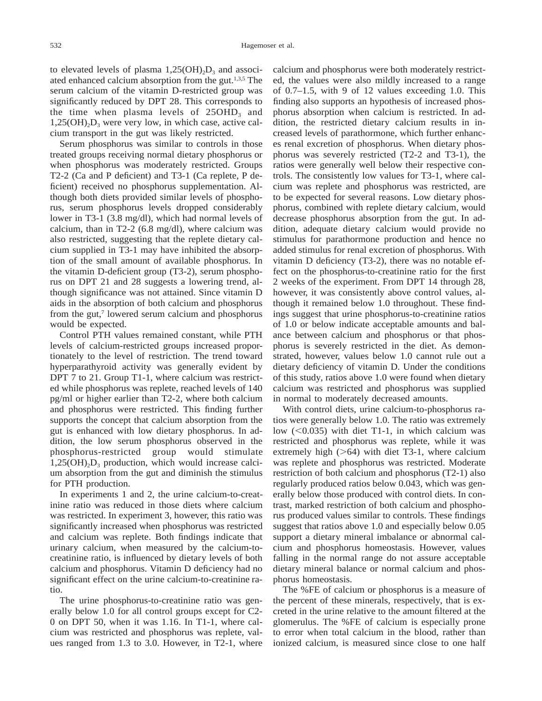to elevated levels of plasma  $1,25(OH)_{2}D_{3}$  and associated enhanced calcium absorption from the gut.1,3,5 The serum calcium of the vitamin D-restricted group was significantly reduced by DPT 28. This corresponds to the time when plasma levels of  $25OHD<sub>3</sub>$  and  $1,25(OH)_{2}D_{3}$  were very low, in which case, active calcium transport in the gut was likely restricted.

Serum phosphorus was similar to controls in those treated groups receiving normal dietary phosphorus or when phosphorus was moderately restricted. Groups T2-2 (Ca and P deficient) and T3-1 (Ca replete, P deficient) received no phosphorus supplementation. Although both diets provided similar levels of phosphorus, serum phosphorus levels dropped considerably lower in T3-1 (3.8 mg/dl), which had normal levels of calcium, than in T2-2 (6.8 mg/dl), where calcium was also restricted, suggesting that the replete dietary calcium supplied in T3-1 may have inhibited the absorption of the small amount of available phosphorus. In the vitamin D-deficient group (T3-2), serum phosphorus on DPT 21 and 28 suggests a lowering trend, although significance was not attained. Since vitamin D aids in the absorption of both calcium and phosphorus from the gut,<sup>7</sup> lowered serum calcium and phosphorus would be expected.

Control PTH values remained constant, while PTH levels of calcium-restricted groups increased proportionately to the level of restriction. The trend toward hyperparathyroid activity was generally evident by DPT 7 to 21. Group T1-1, where calcium was restricted while phosphorus was replete, reached levels of 140 pg/ml or higher earlier than T2-2, where both calcium and phosphorus were restricted. This finding further supports the concept that calcium absorption from the gut is enhanced with low dietary phosphorus. In addition, the low serum phosphorus observed in the phosphorus-restricted group would stimulate  $1,25(OH)_{2}D_{3}$  production, which would increase calcium absorption from the gut and diminish the stimulus for PTH production.

In experiments 1 and 2, the urine calcium-to-creatinine ratio was reduced in those diets where calcium was restricted. In experiment 3, however, this ratio was significantly increased when phosphorus was restricted and calcium was replete. Both findings indicate that urinary calcium, when measured by the calcium-tocreatinine ratio, is influenced by dietary levels of both calcium and phosphorus. Vitamin D deficiency had no significant effect on the urine calcium-to-creatinine ratio.

The urine phosphorus-to-creatinine ratio was generally below 1.0 for all control groups except for C2- 0 on DPT 50, when it was 1.16. In T1-1, where calcium was restricted and phosphorus was replete, values ranged from 1.3 to 3.0. However, in T2-1, where calcium and phosphorus were both moderately restricted, the values were also mildly increased to a range of 0.7–1.5, with 9 of 12 values exceeding 1.0. This finding also supports an hypothesis of increased phosphorus absorption when calcium is restricted. In addition, the restricted dietary calcium results in increased levels of parathormone, which further enhances renal excretion of phosphorus. When dietary phosphorus was severely restricted (T2-2 and T3-1), the ratios were generally well below their respective controls. The consistently low values for T3-1, where calcium was replete and phosphorus was restricted, are to be expected for several reasons. Low dietary phosphorus, combined with replete dietary calcium, would decrease phosphorus absorption from the gut. In addition, adequate dietary calcium would provide no stimulus for parathormone production and hence no added stimulus for renal excretion of phosphorus. With vitamin D deficiency (T3-2), there was no notable effect on the phosphorus-to-creatinine ratio for the first 2 weeks of the experiment. From DPT 14 through 28, however, it was consistently above control values, although it remained below 1.0 throughout. These findings suggest that urine phosphorus-to-creatinine ratios of 1.0 or below indicate acceptable amounts and balance between calcium and phosphorus or that phosphorus is severely restricted in the diet. As demonstrated, however, values below 1.0 cannot rule out a dietary deficiency of vitamin D. Under the conditions of this study, ratios above 1.0 were found when dietary calcium was restricted and phosphorus was supplied in normal to moderately decreased amounts.

With control diets, urine calcium-to-phosphorus ratios were generally below 1.0. The ratio was extremely low  $(<0.035)$  with diet T1-1, in which calcium was restricted and phosphorus was replete, while it was extremely high  $($ >64) with diet T3-1, where calcium was replete and phosphorus was restricted. Moderate restriction of both calcium and phosphorus (T2-1) also regularly produced ratios below 0.043, which was generally below those produced with control diets. In contrast, marked restriction of both calcium and phosphorus produced values similar to controls. These findings suggest that ratios above 1.0 and especially below 0.05 support a dietary mineral imbalance or abnormal calcium and phosphorus homeostasis. However, values falling in the normal range do not assure acceptable dietary mineral balance or normal calcium and phosphorus homeostasis.

The %FE of calcium or phosphorus is a measure of the percent of these minerals, respectively, that is excreted in the urine relative to the amount filtered at the glomerulus. The %FE of calcium is especially prone to error when total calcium in the blood, rather than ionized calcium, is measured since close to one half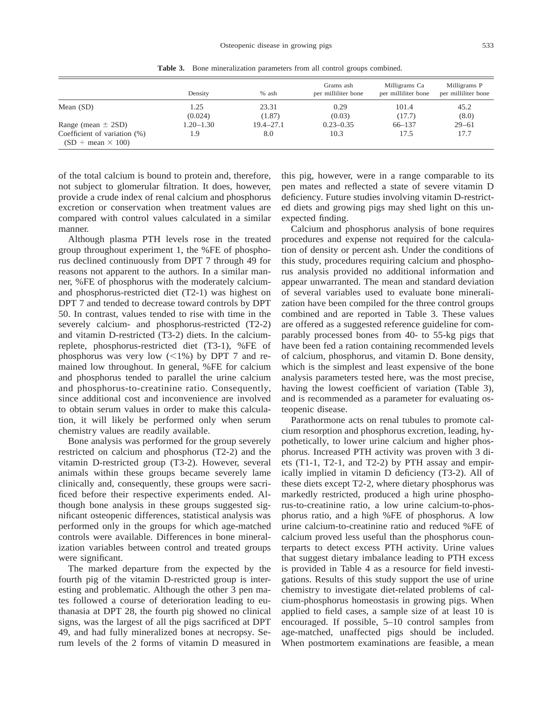|                                    | Density         | % ash           | Grams ash<br>per milliliter bone | Milligrams Ca<br>per milliliter bone | Milligrams P<br>per milliliter bone |
|------------------------------------|-----------------|-----------------|----------------------------------|--------------------------------------|-------------------------------------|
| Mean $(SD)$                        | 1.25<br>(0.024) | 23.31<br>(1.87) | 0.29<br>(0.03)                   | 101.4<br>(17.7)                      | 45.2<br>(8.0)                       |
| Range (mean $\pm$ 2SD)             | $1.20 - 1.30$   | $19.4 - 27.1$   | $0.23 - 0.35$                    | $66 - 137$                           | $29 - 61$                           |
| Coefficient of variation (%)       | 1.9             | 8.0             | 10.3                             | 17.5                                 | 17.7                                |
| $(SD \div \text{mean} \times 100)$ |                 |                 |                                  |                                      |                                     |

**Table 3.** Bone mineralization parameters from all control groups combined.

of the total calcium is bound to protein and, therefore, not subject to glomerular filtration. It does, however, provide a crude index of renal calcium and phosphorus excretion or conservation when treatment values are compared with control values calculated in a similar manner.

Although plasma PTH levels rose in the treated group throughout experiment 1, the %FE of phosphorus declined continuously from DPT 7 through 49 for reasons not apparent to the authors. In a similar manner, %FE of phosphorus with the moderately calciumand phosphorus-restricted diet (T2-1) was highest on DPT 7 and tended to decrease toward controls by DPT 50. In contrast, values tended to rise with time in the severely calcium- and phosphorus-restricted (T2-2) and vitamin D-restricted (T3-2) diets. In the calciumreplete, phosphorus-restricted diet (T3-1), %FE of phosphorus was very low  $(<1%)$  by DPT 7 and remained low throughout. In general, %FE for calcium and phosphorus tended to parallel the urine calcium and phosphorus-to-creatinine ratio. Consequently, since additional cost and inconvenience are involved to obtain serum values in order to make this calculation, it will likely be performed only when serum chemistry values are readily available.

Bone analysis was performed for the group severely restricted on calcium and phosphorus (T2-2) and the vitamin D-restricted group (T3-2). However, several animals within these groups became severely lame clinically and, consequently, these groups were sacrificed before their respective experiments ended. Although bone analysis in these groups suggested significant osteopenic differences, statistical analysis was performed only in the groups for which age-matched controls were available. Differences in bone mineralization variables between control and treated groups were significant.

The marked departure from the expected by the fourth pig of the vitamin D-restricted group is interesting and problematic. Although the other 3 pen mates followed a course of deterioration leading to euthanasia at DPT 28, the fourth pig showed no clinical signs, was the largest of all the pigs sacrificed at DPT 49, and had fully mineralized bones at necropsy. Serum levels of the 2 forms of vitamin D measured in

this pig, however, were in a range comparable to its pen mates and reflected a state of severe vitamin D deficiency. Future studies involving vitamin D-restricted diets and growing pigs may shed light on this unexpected finding.

Calcium and phosphorus analysis of bone requires procedures and expense not required for the calculation of density or percent ash. Under the conditions of this study, procedures requiring calcium and phosphorus analysis provided no additional information and appear unwarranted. The mean and standard deviation of several variables used to evaluate bone mineralization have been compiled for the three control groups combined and are reported in Table 3. These values are offered as a suggested reference guideline for comparably processed bones from 40- to 55-kg pigs that have been fed a ration containing recommended levels of calcium, phosphorus, and vitamin D. Bone density, which is the simplest and least expensive of the bone analysis parameters tested here, was the most precise, having the lowest coefficient of variation (Table 3), and is recommended as a parameter for evaluating osteopenic disease.

Parathormone acts on renal tubules to promote calcium resorption and phosphorus excretion, leading, hypothetically, to lower urine calcium and higher phosphorus. Increased PTH activity was proven with 3 diets (T1-1, T2-1, and T2-2) by PTH assay and empirically implied in vitamin D deficiency (T3-2). All of these diets except T2-2, where dietary phosphorus was markedly restricted, produced a high urine phosphorus-to-creatinine ratio, a low urine calcium-to-phosphorus ratio, and a high %FE of phosphorus. A low urine calcium-to-creatinine ratio and reduced %FE of calcium proved less useful than the phosphorus counterparts to detect excess PTH activity. Urine values that suggest dietary imbalance leading to PTH excess is provided in Table 4 as a resource for field investigations. Results of this study support the use of urine chemistry to investigate diet-related problems of calcium-phosphorus homeostasis in growing pigs. When applied to field cases, a sample size of at least 10 is encouraged. If possible, 5–10 control samples from age-matched, unaffected pigs should be included. When postmortem examinations are feasible, a mean